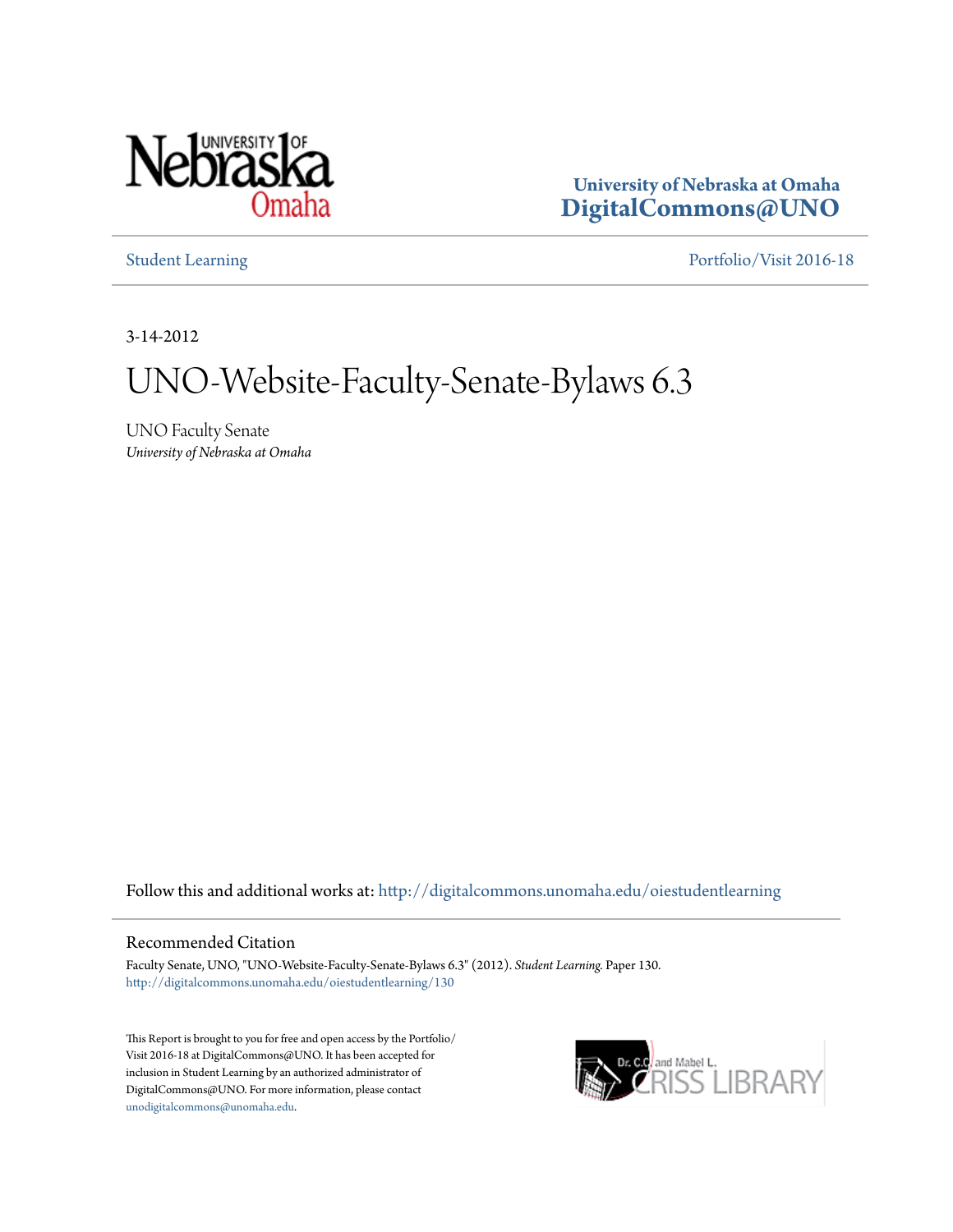

**University of Nebraska at Omaha [DigitalCommons@UNO](http://digitalcommons.unomaha.edu?utm_source=digitalcommons.unomaha.edu%2Foiestudentlearning%2F130&utm_medium=PDF&utm_campaign=PDFCoverPages)**

[Student Learning](http://digitalcommons.unomaha.edu/oiestudentlearning?utm_source=digitalcommons.unomaha.edu%2Foiestudentlearning%2F130&utm_medium=PDF&utm_campaign=PDFCoverPages) [Portfolio/Visit 2016-18](http://digitalcommons.unomaha.edu/oieportfolio?utm_source=digitalcommons.unomaha.edu%2Foiestudentlearning%2F130&utm_medium=PDF&utm_campaign=PDFCoverPages)

3-14-2012

## UNO-Website-Faculty-Senate-Bylaws 6.3

UNO Faculty Senate *University of Nebraska at Omaha*

Follow this and additional works at: [http://digitalcommons.unomaha.edu/oiestudentlearning](http://digitalcommons.unomaha.edu/oiestudentlearning?utm_source=digitalcommons.unomaha.edu%2Foiestudentlearning%2F130&utm_medium=PDF&utm_campaign=PDFCoverPages)

## Recommended Citation

Faculty Senate, UNO, "UNO-Website-Faculty-Senate-Bylaws 6.3" (2012). *Student Learning.* Paper 130. [http://digitalcommons.unomaha.edu/oiestudentlearning/130](http://digitalcommons.unomaha.edu/oiestudentlearning/130?utm_source=digitalcommons.unomaha.edu%2Foiestudentlearning%2F130&utm_medium=PDF&utm_campaign=PDFCoverPages)

This Report is brought to you for free and open access by the Portfolio/ Visit 2016-18 at DigitalCommons@UNO. It has been accepted for inclusion in Student Learning by an authorized administrator of DigitalCommons@UNO. For more information, please contact [unodigitalcommons@unomaha.edu](mailto:unodigitalcommons@unomaha.edu).